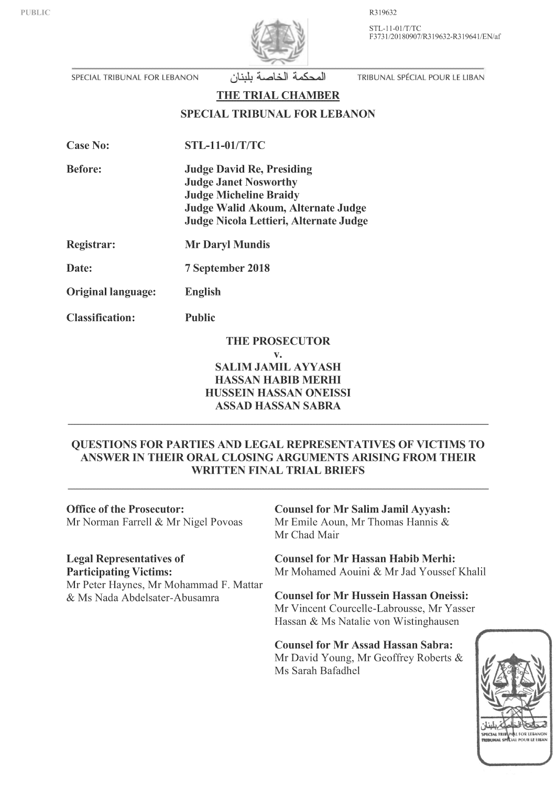R319632

STL-11-01/T/TC F3731/20180907/R319632-R319641/EN/af



SPECIAL TRIBUNAL FOR LEBANON

المحكمة الخاصبة بلبنان

TRIBUNAL SPÉCIAL POUR LE LIBAN

THE TRIAL CHAMBER

**SPECIAL TRIBUNAL FOR LEBANON** 

**Before: Judge David Re, Presiding Judge Janet Nosworthy Judge Micheline Braidy** Judge Walid Akoum, Alternate Judge Judge Nicola Lettieri, Alternate Judge

Registrar: **Mr Daryl Mundis** 

Date: 7 September 2018

Original language: English

**Classification: Public** 

**THE PROSECUTOR** 

#### $\mathbf{V}$ . **SALIM JAMIL AYYASH HASSAN HABIB MERHI** HUSSEIN HASSAN ONEISSI

**ASSAD HASSAN SABRA** 

# QUESTIONS FOR PARTIES AND LEGAL REPRESENTATIVES OF VICTIMS TO ANSWER IN THEIR ORAL CLOSING ARGUMENTS ARISING FROM THEIR **WRITTEN FINAL TRIAL BRIEFS**

**Office of the Prosecutor:** Mr Norman Farrell & Mr Nigel Povoas

# **Legal Representatives of**

**Participating Victims:** Mr Peter Haynes, Mr Mohammad F. Mattar & Ms Nada Abdelsater-Abusamra

**Counsel for Mr Salim Jamil Ayyash:** Mr Emile Aoun, Mr Thomas Hannis & Mr Chad Mair

**Counsel for Mr Hassan Habib Merhi:** Mr Mohamed Aouini & Mr Jad Youssef Khalil

**Counsel for Mr Hussein Hassan Oneissi:** Mr Vincent Courcelle-Labrousse, Mr Yasser Hassan & Ms Natalie von Wistinghausen

**Counsel for Mr Assad Hassan Sabra:** Mr David Young, Mr Geoffrey Roberts & Ms Sarah Bafadhel

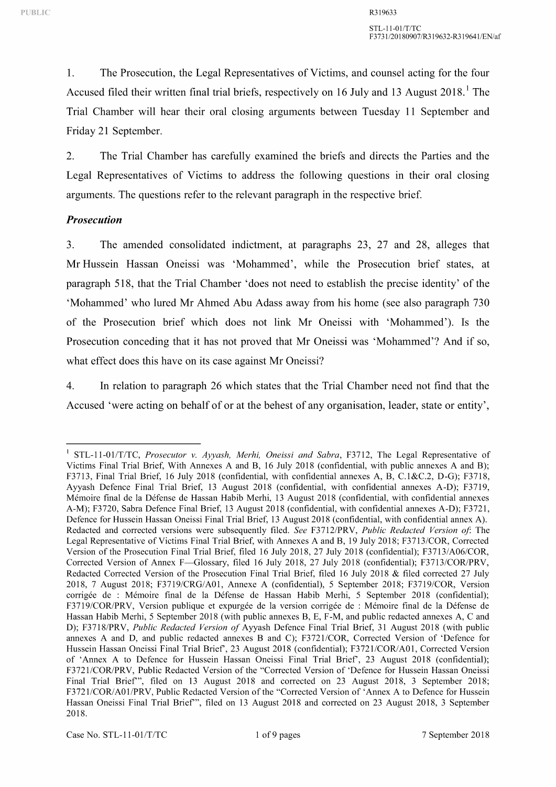1. The Prosecution, the Legal Representatives of Victims, and counsel acting for the four Accused filed their written final trial briefs, respectively on 16 July and 13 August  $2018$ . The Trial Chamber will hear their oral closing arguments between Tuesday 11 September and Friday 21 September.

2. The Trial Chamber has carefully examined the briefs and directs the Parties and the Legal Representatives of Victims to address the following questions in their oral closing arguments. The questions refer to the relevant paragraph in the respective brief.

#### *Prosecution*

3. The amended consolidated indictment, at paragraphs 23, 27 and 28, alleges that Mr Hussein Hassan Oneissi was 'Mohammed', while the Prosecution brief states, at paragraph 518, that the Trial Chamber 'does not need to establish the precise identity' of the 'Mohammed' who lured Mr Ahmed Abu Adass away from his home (see also paragraph 730 of the Prosecution brief which does not link Mr Oneissi with 'Mohammed'). Is the Prosecution conceding that it has not proved that Mr Oneissi was 'Mohammed'? And if so, what effect does this have on its case against Mr Oneissi?

4. In relation to paragraph 26 which states that the Trial Chamber need not find that the Accused 'were acting on behalf of or at the behest of any organisation, leader, state or entity',

<sup>&</sup>lt;sup>1</sup> STL-11-01/T/TC, Prosecutor v. Ayyash, Merhi, Oneissi and Sabra, F3712, The Legal Representative of Victims Final Trial Brief, With Annexes A and B, 16 July 2018 (confidential, with public annexes A and B); F3713, Final Trial Brief, 16 July 2018 (confidential, with confidential annexes A, B, C.l&C.2, D-G); F3718, Ayyash Defence Final Trial Brief, 13 August 2018 (confidential, with confidential annexes A-D); F3719, Mémoire final de la Défense de Hassan Habib Merhi, 13 August 2018 (confidential, with confidential annexes A-M); F3720, Sabra Defence Final Brief, 13 August 2018 (confidential, with confidential annexes A-D); F372l, Defence for Hussein Hassan Oneissi Final Trial Brief, 13 August 2018 (confidential, with confidential annex A). Redacted and corrected versions were subsequently filed. *See* F3712/PRV, *Public Redacted Version of* The Legal Representative of Victims Final Trial Brief, with Annexes A and B, 19 July 2018; F3713/COR, Corrected Version of the Prosecution Final Trial Brief, filed 16 July 2018, 27 July 2018 (confidential); F3713/A06/COR, Corrected Version of Annex F-Glossary, filed 16 July 2018, 27 July 2018 (confidential); F3713/COR/PRV, Redacted Corrected Version of the Prosecution Final Trial Brief, filed 16 July 2018 & filed corrected 27 July 2018, 7 August 2018; F3719/CRG/AOl, Annexe A (confidential), 5 September 2018; F3719/COR, Version corrigée de : Mémoire final de la Défense de Hassan Habib Merhi, 5 September 2018 (confidential); F3719/COR/PRV, Version publique et expurgée de la version corrigée de : Mémoire final de la Défense de Hassan Habib Merhi, 5 September 2018 (with public annexes B, E, F-M, and public redacted annexes A, C and D); F3718/PRV, *Public Redacted Version of* Ayyash Defence Final Trial Brief, 31 August 2018 (with public annexes A and D, and public redacted annexes B and C); F372l/COR, Corrected Version of 'Defence for Hussein Hassan Oneissi Final Trial Brief, 23 August 2018 (confidential); F372l/COR/AOl, Corrected Version of 'Annex A to Defence for Hussein Hassan Oneissi Final Trial Brief, 23 August 2018 (confidential); F3721/COR/PRV, Public Redacted Version of the "Corrected Version of 'Defence for Hussein Hassan Oneissi Final Trial Brief", filed on 13 August 2018 and corrected on 23 August 2018, 3 September 2018; F3721/COR/A01/PRV, Public Redacted Version of the "Corrected Version of 'Annex A to Defence for Hussein Hassan Oneissi Final Trial Brief", filed on 13 August 2018 and corrected on 23 August 2018, 3 September 2018.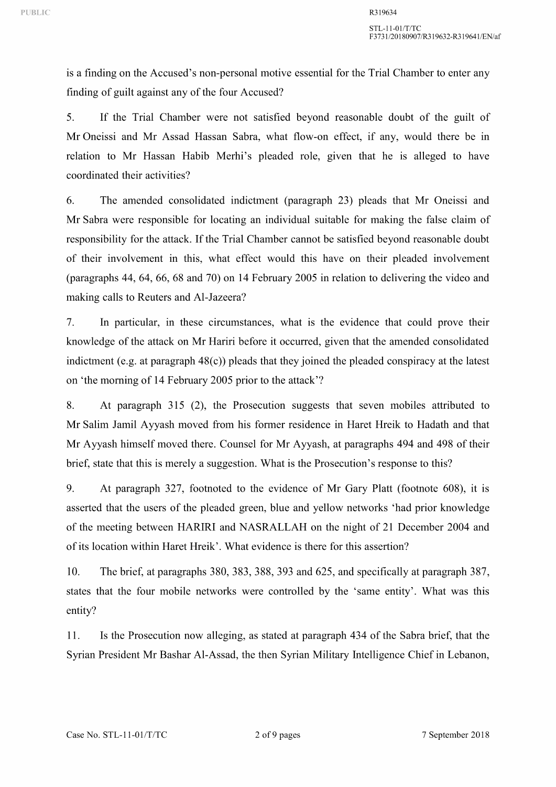is a finding on the Accused's non-personal motive essential for the Trial Chamber to enter any finding of guilt against any of the four Accused?

5. If the Trial Chamber were not satisfied beyond reasonable doubt of the guilt of Mr Oneissi and Mr Assad Hassan Sabra, what flow-on effect, if any, would there be in relation to Mr Hassan Habib Merhi's pleaded role, given that he is alleged to have coordinated their activities?

6. The amended consolidated indictment (paragraph 23) pleads that Mr Oneissi and Mr Sabra were responsible for locating an individual suitable for making the false claim of responsibility for the attack. If the Trial Chamber cannot be satisfied beyond reasonable doubt of their involvement in this, what effect would this have on their pleaded involvement (paragraphs 44, 64, 66, 68 and 70) on 14 February 2005 in relation to delivering the video and making calls to Reuters and Al-Jazeera?

7. In particular, in these circumstances, what is the evidence that could prove their knowledge of the attack on Mr Hariri before it occurred, given that the amended consolidated indictment (e.g. at paragraph 48(c)) pleads that they joined the pleaded conspiracy at the latest on 'the morning of 14 February 2005 prior to the attack'?

8. At paragraph 315 (2), the Prosecution suggests that seven mobiles attributed to Mr Salim Jamil Ayyash moved from his former residence in Haret Hreik to Hadath and that Mr Ayyash himself moved there. Counsel for Mr Ayyash, at paragraphs 494 and 498 of their brief, state that this is merely a suggestion. What is the Prosecution's response to this?

9. At paragraph 327, footnoted to the evidence of Mr Gary Platt (footnote 608), it is asserted that the users of the pleaded green, blue and yellow networks 'had prior knowledge of the meeting between HARIRI and NASRALLAH on the night of 21 December 2004 and of its location within Haret Hreik'. What evidence is there for this assertion?

10. The brief, at paragraphs 380, 383, 388, 393 and 625, and specifically at paragraph 387, states that the four mobile networks were controlled by the 'same entity'. What was this entity?

11. Is the Prosecution now alleging, as stated at paragraph 434 of the Sabra brief, that the Syrian President Mr Bashar Al-Assad, the then Syrian Military Intelligence Chief in Lebanon,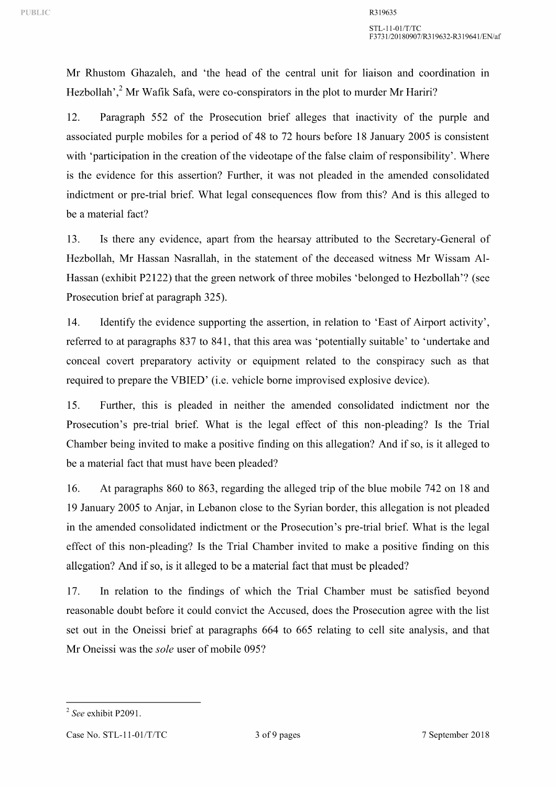Mr Rhustom Ghazaleh, and 'the head of the central unit for liaison and coordination in Hezbollah'.<sup>2</sup> Mr Wafik Safa, were co-conspirators in the plot to murder Mr Hariri?

12. Paragraph 552 of the Prosecution brief alleges that inactivity of the purple and associated purple mobiles for a period of 48 to 72 hours before 18 January 2005 is consistent with 'participation in the creation of the videotape of the false claim of responsibility'. Where is the evidence for this assertion? Further, it was not pleaded in the amended consolidated indictment or pre-trial brief. What legal consequences flow from this? And is this alleged to be a material fact?

13. Is there any evidence, apart from the hearsay attributed to the Secretary-General of Hezbollah, Mr Hassan Nasrallah, in the statement of the deceased witness Mr Wissam Al-Hassan (exhibit P2122) that the green network of three mobiles 'belonged to Hezbollah'? (see Prosecution brief at paragraph 325).

14. Identify the evidence supporting the assertion, in relation to 'East of Airport activity', referred to at paragraphs 837 to 841, that this area was 'potentially suitable' to 'undertake and conceal covert preparatory activity or equipment related to the conspiracy such as that required to prepare the VBIED' (i.e. vehicle borne improvised explosive device).

15. Further, this is pleaded in neither the amended consolidated indictment nor the Prosecution's pre-trial brief. What is the legal effect of this non-pleading? Is the Trial Chamber being invited to make a positive finding on this allegation? And if so, is it alleged to be a material fact that must have been pleaded?

16. At paragraphs 860 to 863, regarding the alleged trip of the blue mobile 742 on 18 and 19 January 2005 to Anjar, in Lebanon close to the Syrian border, this allegation is not pleaded in the amended consolidated indictment or the Prosecution's pre-trial brief. What is the legal effect of this non-pleading? Is the Trial Chamber invited to make a positive finding on this allegation? And if so, is it alleged to be a material fact that must be pleaded?

17. In relation to the findings of which the Trial Chamber must be satisfied beyond reasonable doubt before it could convict the Accused, does the Prosecution agree with the list set out in the Oneissi brief at paragraphs 664 to 665 relating to cell site analysis, and that Mr Oneissi was the *sole* user of mobile 095?

<sup>2</sup>*See* exhibit P2091.

Case No. STL-11-01/T/TC 3 of 9 pages 7 September 2018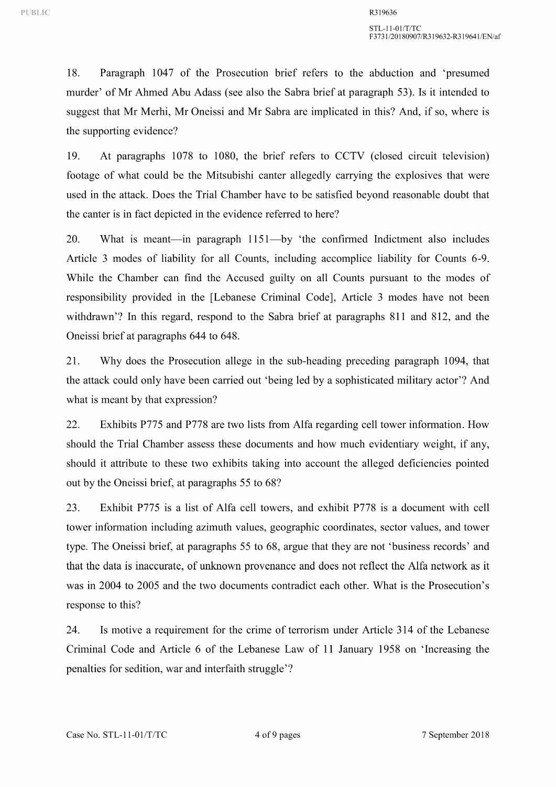18. Paragraph 1047 of the Prosecution brief refers to the abduction and 'presumed murder' of Mr Ahmed Abu Adass (see also the Sabra brief at paragraph 53). Is it intended to suggest that Mr Merhi, Mr Oneissi and Mr Sabra are implicated in this? And, if so, where is the supporting evidence?

19. At paragraphs 1078 to 1080, the brief refers to CCTV (closed circuit television) footage of what could be the Mitsubishi canter allegedly carrying the explosives that were used in the attack. Does the Trial Chamber have to be satisfied beyond reasonable doubt that the canter is in fact depicted in the evidence referred to here?

20. What is meant—in paragraph 1151—by 'the confirmed Indictment also includes Article 3 modes of liability for all Counts, including accomplice liability for Counts 6-9. While the Chamber can find the Accused guilty on all Counts pursuant to the modes of responsibility provided in the [Lebanese Criminal Code], Article 3 modes have not been withdrawn'? In this regard, respond to the Sabra brief at paragraphs 811 and 812, and the Oneissi brief at paragraphs 644 to 648.

21. Why does the Prosecution allege in the sub-heading preceding paragraph 1094, that the attack could only have been carried out 'being led by a sophisticated military actor'? And what is meant by that expression?

22. Exhibits P775 and P778 are two lists from Alfa regarding cell tower information. How should the Trial Chamber assess these documents and how much evidentiary weight, if any, should it attribute to these two exhibits taking into account the alleged deficiencies pointed out by the Oneissi brief, at paragraphs 55 to 68?

23. Exhibit P775 is a list of Alfa cell towers, and exhibit P778 is a document with cell tower information including azimuth values, geographic coordinates, sector values, and tower type. The Oneissi brief, at paragraphs 55 to 68, argue that they are not 'business records' and that the data is inaccurate, of unknown provenance and does not reflect the Alfa network as it was in 2004 to 2005 and the two documents contradict each other. What is the Prosecution's response to this?

24. Is motive a requirement for the crime of terrorism under Article 314 of the Lebanese Criminal Code and Article 6 of the Lebanese Law of 11 January 1958 on 'Increasing the penalties for sedition, war and interfaith struggle'?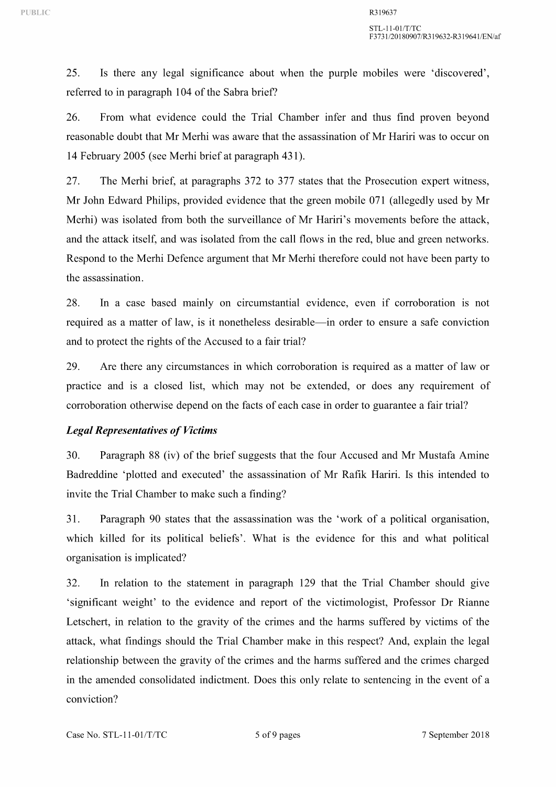25. Is there any legal significance about when the purple mobiles were 'discovered', referred to in paragraph 104 of the Sabra brief?

26. From what evidence could the Trial Chamber infer and thus find proven beyond reasonable doubt that Mr Merhi was aware that the assassination of Mr Hariri was to occur on 14 February 2005 (see Merhi brief at paragraph 431 ).

27. The Merhi brief, at paragraphs 372 to 377 states that the Prosecution expert witness, Mr John Edward Philips, provided evidence that the green mobile 071 (allegedly used by Mr Merhi) was isolated from both the surveillance of Mr Hariri's movements before the attack, and the attack itself, and was isolated from the call flows in the red, blue and green networks. Respond to the Merhi Defence argument that Mr Merhi therefore could not have been party to the assassination.

28. In a case based mainly on circumstantial evidence, even if corroboration is not required as a matter of law, is it nonetheless desirable-in order to ensure a safe conviction and to protect the rights of the Accused to a fair trial?

29. Are there any circumstances in which corroboration is required as a matter of law or practice and is a closed list, which may not be extended, or does any requirement of corroboration otherwise depend on the facts of each case in order to guarantee a fair trial?

### *Legal Representatives of Victims*

30. Paragraph 88 (iv) of the brief suggests that the four Accused and Mr Mustafa Amine Badreddine 'plotted and executed' the assassination of Mr Rafik Hariri. Is this intended to invite the Trial Chamber to make such a finding?

31. Paragraph 90 states that the assassination was the 'work of a political organisation, which killed for its political beliefs'. What is the evidence for this and what political organisation is implicated?

32. In relation to the statement in paragraph 129 that the Trial Chamber should give 'significant weight' to the evidence and report of the victimologist, Professor Dr Rianne Letschert, in relation to the gravity of the crimes and the harms suffered by victims of the attack, what findings should the Trial Chamber make in this respect? And, explain the legal relationship between the gravity of the crimes and the harms suffered and the crimes charged in the amended consolidated indictment. Does this only relate to sentencing in the event of a conviction?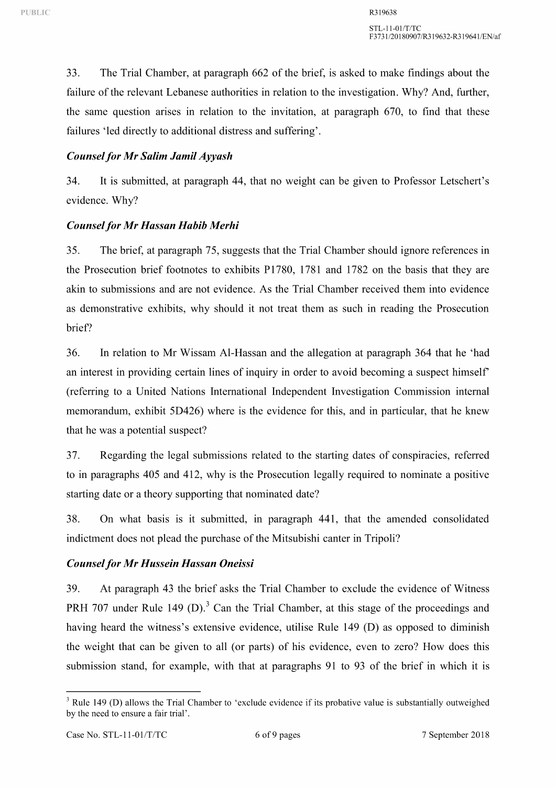33. The Trial Chamber, at paragraph 662 of the brief, is asked to make findings about the failure of the relevant Lebanese authorities in relation to the investigation. Why? And, further, the same question arises in relation to the invitation, at paragraph 670, to find that these failures 'led directly to additional distress and suffering'.

# *Counsel for Mr Salim Jamil Ayyash*

34. It is submitted, at paragraph 44, that no weight can be given to Professor Letschert's evidence. Why?

# *Counsel for Mr Hassan Habib Merhi*

35. The brief, at paragraph 75, suggests that the Trial Chamber should ignore references in the Prosecution brief footnotes to exhibits P1780, 1781 and 1782 on the basis that they are akin to submissions and are not evidence. As the Trial Chamber received them into evidence as demonstrative exhibits, why should it not treat them as such in reading the Prosecution brief?

36. In relation to Mr Wissam Al-Hassan and the allegation at paragraph 364 that he 'had an interest in providing certain lines of inquiry in order to avoid becoming a suspect himself (referring to a United Nations International Independent Investigation Commission internal memorandum, exhibit 5D426) where is the evidence for this, and in particular, that he knew that he was a potential suspect?

37. Regarding the legal submissions related to the starting dates of conspiracies, referred to in paragraphs 405 and 412, why is the Prosecution legally required to nominate a positive starting date or a theory supporting that nominated date?

38. On what basis is it submitted, in paragraph 441, that the amended consolidated indictment does not plead the purchase of the Mitsubishi canter in Tripoli?

### *Counsel for Mr Hussein Hassan Oneissi*

39. At paragraph 43 the brief asks the Trial Chamber to exclude the evidence of Witness PRH 707 under Rule 149 (D).<sup>3</sup> Can the Trial Chamber, at this stage of the proceedings and having heard the witness's extensive evidence, utilise Rule 149 (D) as opposed to diminish the weight that can be given to all (or parts) of his evidence, even to zero? How does this submission stand, for example, with that at paragraphs 91 to 93 of the brief in which it is

<sup>&</sup>lt;sup>3</sup> Rule 149 (D) allows the Trial Chamber to 'exclude evidence if its probative value is substantially outweighed by the need to ensure a fair trial'.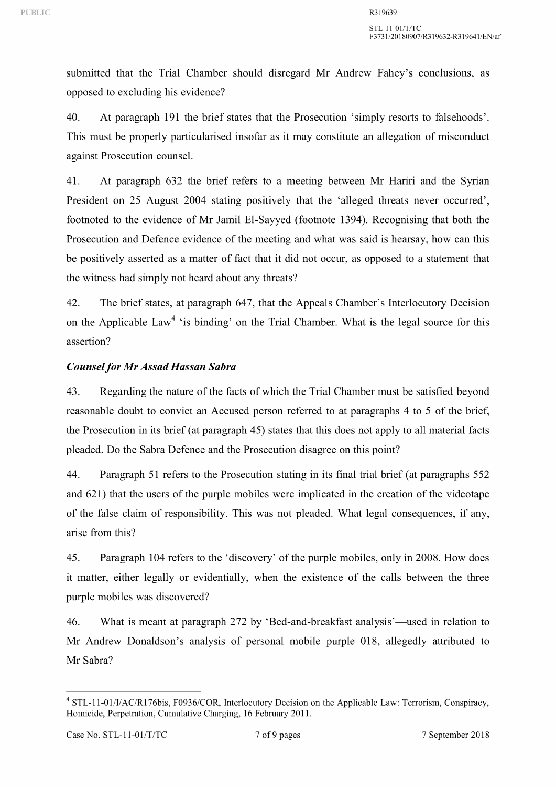submitted that the Trial Chamber should disregard Mr Andrew Fahey's conclusions, as opposed to excluding his evidence?

40. At paragraph **191** the brief states that the Prosecution 'simply resorts to falsehoods'. This must be properly particularised insofar as it may constitute an allegation of misconduct against Prosecution counsel.

41. At paragraph 632 the brief refers to a meeting between Mr Hariri and the Syrian President on 25 August 2004 stating positively that the 'alleged threats never occurred', footnoted to the evidence of Mr Jamil El-Sayyed (footnote 1394). Recognising that both the Prosecution and Defence evidence of the meeting and what was said is hearsay, how can this be positively asserted as a matter of fact that it did not occur, as opposed to a statement that the witness had simply not heard about any threats?

42. The brief states, at paragraph 647, that the Appeals Chamber's Interlocutory Decision on the Applicable Law<sup>4</sup> 'is binding' on the Trial Chamber. What is the legal source for this assertion?

# *Counsel for Mr Assad Hassan Sabra*

43. Regarding the nature of the facts of which the Trial Chamber must be satisfied beyond reasonable doubt to convict an Accused person referred to at paragraphs 4 to 5 of the brief, the Prosecution in its brief (at paragraph 45) states that this does not apply to all material facts pleaded. Do the Sabra Defence and the Prosecution disagree on this point?

44. Paragraph 51 refers to the Prosecution stating in its final trial brief (at paragraphs 552 and 621) that the users of the purple mobiles were implicated in the creation of the videotape of the false claim of responsibility. This was not pleaded. What legal consequences, if any, arise from this?

45. Paragraph 104 refers to the 'discovery' of the purple mobiles, only in 2008. How does it matter, either legally or evidentially, when the existence of the calls between the three purple mobiles was discovered?

46. What is meant at paragraph 272 by 'Bed-and-breakfast analysis'—used in relation to Mr Andrew Donaldson's analysis of personal mobile purple 018, allegedly attributed to Mr Sabra?

<sup>4</sup> STL-11-01/IIAC/R176bis, F0936/COR, Interlocutory Decision on the Applicable Law: Terrorism, Conspiracy, Homicide, Perpetration, Cumulative Charging, 16 February 2011.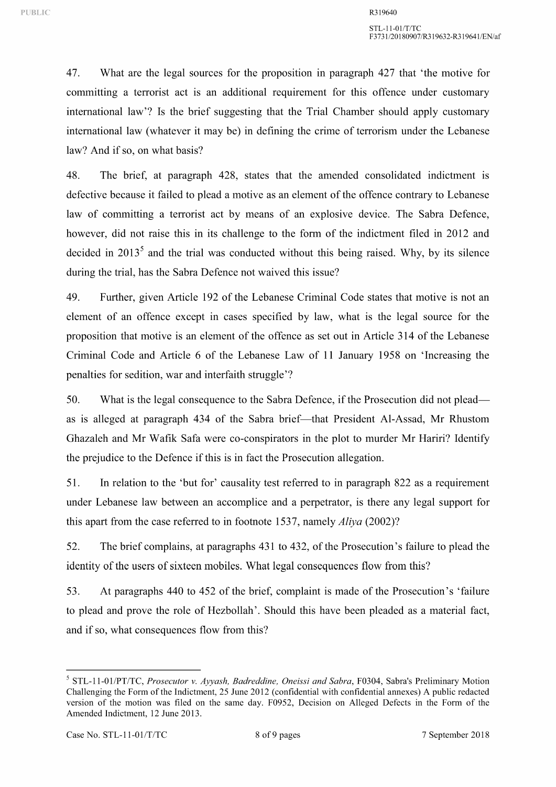47. What are the legal sources for the proposition in paragraph 427 that 'the motive for committing a terrorist act is an additional requirement for this offence under customary international law'? Is the brief suggesting that the Trial Chamber should apply customary international law (whatever it may be) in defining the crime of terrorism under the Lebanese law? And if so, on what basis?

48. The brief, at paragraph 428, states that the amended consolidated indictment is defective because it failed to plead a motive as an element of the offence contrary to Lebanese law of committing a terrorist act by means of an explosive device. The Sabra Defence, however, did not raise this in its challenge to the form of the indictment filed in 2012 and decided in  $2013<sup>5</sup>$  and the trial was conducted without this being raised. Why, by its silence during the trial, has the Sabra Defence not waived this issue?

49. Further, given Article 192 of the Lebanese Criminal Code states that motive is not an element of an offence except in cases specified by law, what is the legal source for the proposition that motive is an element of the offence as set out in Article 314 of the Lebanese Criminal Code and Article 6 of the Lebanese Law of 11 January 1958 on 'Increasing the penalties for sedition, war and interfaith struggle'?

50. What is the legal consequence to the Sabra Defence, if the Prosecution did not pleadas is alleged at paragraph 434 of the Sabra brief—that President Al-Assad, Mr Rhustom Ghazaleh and Mr Wafik Safa were co-conspirators in the plot to murder Mr Hariri? Identify the prejudice to the Defence if this is in fact the Prosecution allegation.

51. In relation to the 'but for' causality test referred to in paragraph 822 as a requirement under Lebanese law between an accomplice and a perpetrator, is there any legal support for this apart from the case referred to in footnote 153 7, namely *Aliya* (2002)?

52. The brief complains, at paragraphs 431 to 432, of the Prosecution's failure to plead the identity of the users of sixteen mobiles. What legal consequences flow from this?

53. At paragraphs 440 to 452 of the brief, complaint is made of the Prosecution's 'failure to plead and prove the role of Hezbollah'. Should this have been pleaded as a material fact, and if so, what consequences flow from this?

<sup>5</sup> STL-11-01/PT/TC, *Prosecutor v. Ayyash, Badreddine, Oneissi and Sabra,* F0304, Sabra's Preliminary Motion Challenging the Form of the Indictment, 25 June 2012 (confidential with confidential annexes) A public redacted version of the motion was filed on the same day. F0952, Decision on Alleged Defects in the Form of the Amended Indictment, 12 June 2013.